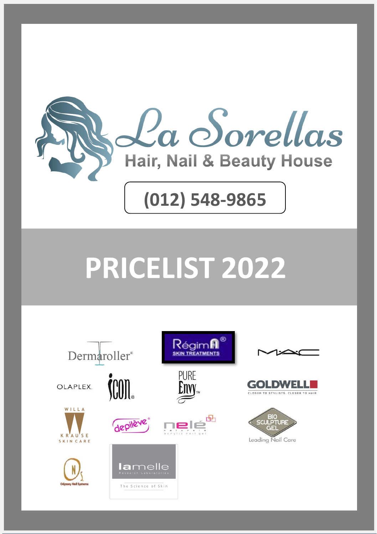

# **(012) 548-9865**

# **PRICELIST 2022**

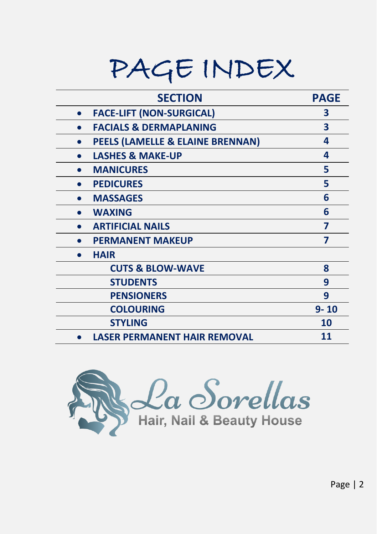# PAGE INDEX

| <b>SECTION</b>                               | <b>PAGE</b> |
|----------------------------------------------|-------------|
| <b>FACE-LIFT (NON-SURGICAL)</b><br>$\bullet$ | 3           |
| <b>FACIALS &amp; DERMAPLANING</b>            | 3           |
| PEELS (LAMELLE & ELAINE BRENNAN)             | 4           |
| <b>LASHES &amp; MAKE-UP</b>                  | 4           |
| <b>MANICURES</b>                             | 5           |
| <b>PEDICURES</b><br>$\bullet$                | 5           |
| <b>MASSAGES</b>                              | 6           |
| <b>WAXING</b>                                | 6           |
| <b>ARTIFICIAL NAILS</b><br>$\bullet$         | 7           |
| <b>PERMANENT MAKEUP</b>                      | 7           |
| <b>HAIR</b><br>$\bullet$                     |             |
| <b>CUTS &amp; BLOW-WAVE</b>                  | 8           |
| <b>STUDENTS</b>                              | 9           |
| <b>PENSIONERS</b>                            | 9           |
| <b>COLOURING</b>                             | $9 - 10$    |
| <b>STYLING</b>                               | 10          |
| LASER PERMANENT HAIR REMOVAL                 | 11          |



Page | 2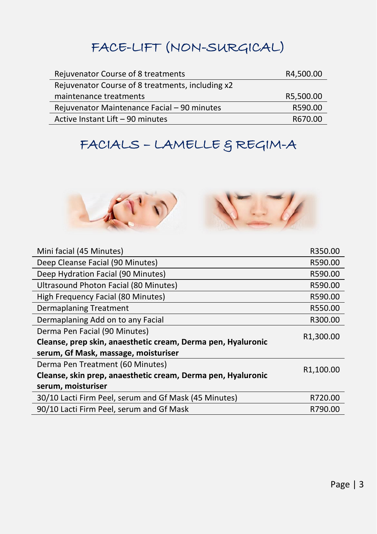## FACE-LIFT (NON-SURGICAL)

| Rejuvenator Course of 8 treatments               | R4,500.00 |
|--------------------------------------------------|-----------|
| Rejuvenator Course of 8 treatments, including x2 |           |
| maintenance treatments                           | R5,500.00 |
| Rejuvenator Maintenance Facial - 90 minutes      | R590.00   |
| Active Instant Lift - 90 minutes                 | R670.00   |

# FACIALS - LAMELLE & REGIM-A



| Mini facial (45 Minutes)                                     | R350.00                |
|--------------------------------------------------------------|------------------------|
| Deep Cleanse Facial (90 Minutes)                             | R590.00                |
| Deep Hydration Facial (90 Minutes)                           | R590.00                |
| Ultrasound Photon Facial (80 Minutes)                        | R590.00                |
| High Frequency Facial (80 Minutes)                           | R590.00                |
| Dermaplaning Treatment                                       | R550.00                |
| Dermaplaning Add on to any Facial                            | R300.00                |
| Derma Pen Facial (90 Minutes)                                | R <sub>1</sub> ,300.00 |
| Cleanse, prep skin, anaesthetic cream, Derma pen, Hyaluronic |                        |
| serum, Gf Mask, massage, moisturiser                         |                        |
| Derma Pen Treatment (60 Minutes)<br>R <sub>1</sub> ,100.00   |                        |
| Cleanse, skin prep, anaesthetic cream, Derma pen, Hyaluronic |                        |
| serum, moisturiser                                           |                        |
| 30/10 Lacti Firm Peel, serum and Gf Mask (45 Minutes)        | R720.00                |
| 90/10 Lacti Firm Peel, serum and Gf Mask                     | R790.00                |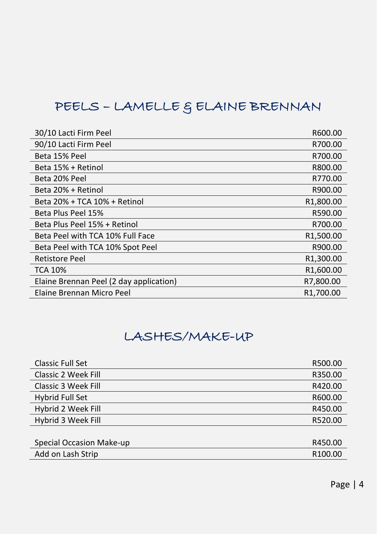# PEELS – LAMELLE & ELAINE BRENNAN

| 30/10 Lacti Firm Peel                   | R600.00                |
|-----------------------------------------|------------------------|
| 90/10 Lacti Firm Peel                   | R700.00                |
| Beta 15% Peel                           | R700.00                |
| Beta 15% + Retinol                      | R800.00                |
| Beta 20% Peel                           | R770.00                |
| Beta 20% + Retinol                      | R900.00                |
| Beta 20% + TCA 10% + Retinol            | R1,800.00              |
| Beta Plus Peel 15%                      | R590.00                |
| Beta Plus Peel 15% + Retinol            | R700.00                |
| Beta Peel with TCA 10% Full Face        | R <sub>1</sub> ,500.00 |
| Beta Peel with TCA 10% Spot Peel        | R900.00                |
| <b>Retistore Peel</b>                   | R <sub>1</sub> ,300.00 |
| <b>TCA 10%</b>                          | R1,600.00              |
| Elaine Brennan Peel (2 day application) | R7,800.00              |
| Elaine Brennan Micro Peel               | R1,700.00              |

### LASHES/MAKE-UP

| R500.00             |
|---------------------|
| R350.00             |
| R420.00             |
| R600.00             |
| R450.00             |
| R520.00             |
|                     |
| R450.00             |
| R <sub>100.00</sub> |
|                     |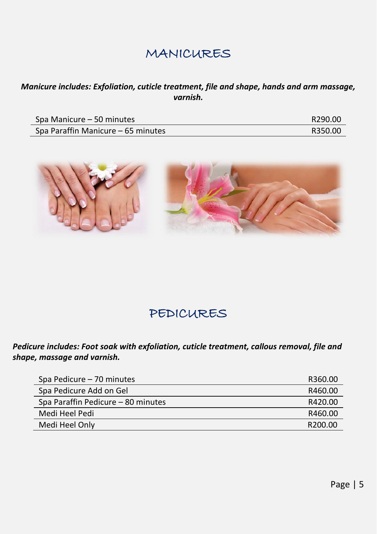### MANICURES

#### *Manicure includes: Exfoliation, cuticle treatment, file and shape, hands and arm massage, varnish.*

| Spa Manicure – 50 minutes          | R290.00 |
|------------------------------------|---------|
| Spa Paraffin Manicure – 65 minutes | R350.00 |



### PEDICURES

#### *Pedicure includes: Foot soak with exfoliation, cuticle treatment, callous removal, file and shape, massage and varnish.*

| Spa Pedicure - 70 minutes          | R360.00             |
|------------------------------------|---------------------|
| Spa Pedicure Add on Gel            | R460.00             |
| Spa Paraffin Pedicure - 80 minutes | R420.00             |
| Medi Heel Pedi                     | R460.00             |
| Medi Heel Only                     | R <sub>200.00</sub> |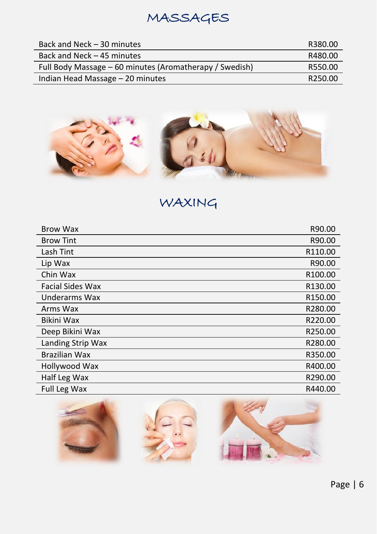# MASSAGES

| Back and Neck – 30 minutes                              | R380.00 |
|---------------------------------------------------------|---------|
| Back and Neck - 45 minutes                              | R480.00 |
| Full Body Massage – 60 minutes (Aromatherapy / Swedish) | R550.00 |
| Indian Head Massage - 20 minutes                        | R250.00 |



# WAXING

| Brow Wax                | R90.00  |
|-------------------------|---------|
| <b>Brow Tint</b>        | R90.00  |
| Lash Tint               | R110.00 |
| Lip Wax                 | R90.00  |
| Chin Wax                | R100.00 |
| <b>Facial Sides Wax</b> | R130.00 |
| Underarms Wax           | R150.00 |
| Arms Wax                | R280.00 |
| Bikini Wax              | R220.00 |
| Deep Bikini Wax         | R250.00 |
| Landing Strip Wax       | R280.00 |
| <b>Brazilian Wax</b>    | R350.00 |
| Hollywood Wax           | R400.00 |
| Half Leg Wax            | R290.00 |
| <b>Full Leg Wax</b>     | R440.00 |

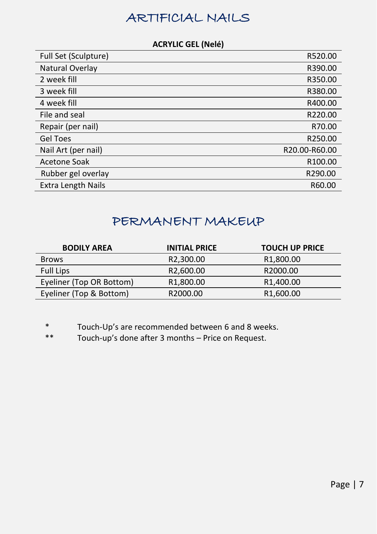## ARTIFICIAL NAILS

#### **ACRYLIC GEL (Nelé)**

| Full Set (Sculpture) | R520.00       |
|----------------------|---------------|
| Natural Overlay      | R390.00       |
| 2 week fill          | R350.00       |
| 3 week fill          | R380.00       |
| 4 week fill          | R400.00       |
| File and seal        | R220.00       |
| Repair (per nail)    | R70.00        |
| <b>Gel Toes</b>      | R250.00       |
| Nail Art (per nail)  | R20.00-R60.00 |
| Acetone Soak         | R100.00       |
| Rubber gel overlay   | R290.00       |
| Extra Length Nails   | R60.00        |

#### PERMANENT MAKEUP

| <b>BODILY AREA</b>       | <b>INITIAL PRICE</b>   | <b>TOUCH UP PRICE</b>  |
|--------------------------|------------------------|------------------------|
| <b>Brows</b>             | R <sub>2.300.00</sub>  | R <sub>1</sub> ,800.00 |
| <b>Full Lips</b>         | R <sub>2</sub> ,600.00 | R2000.00               |
| Eyeliner (Top OR Bottom) | R <sub>1.800.00</sub>  | R <sub>1</sub> ,400.00 |
| Eyeliner (Top & Bottom)  | R2000.00               | R <sub>1.600.00</sub>  |

\* Touch-Up's are recommended between 6 and 8 weeks.

\*\* Touch-up's done after 3 months – Price on Request.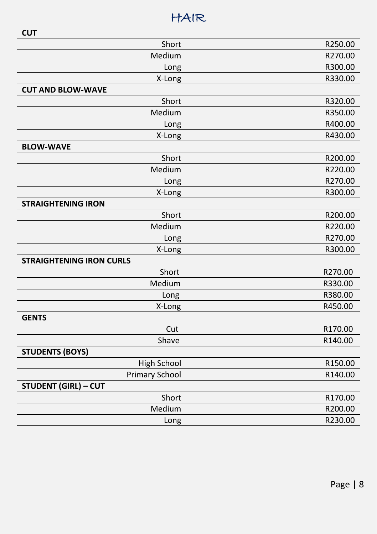# HAIR

| <b>CUT</b>                      |         |
|---------------------------------|---------|
| Short                           | R250.00 |
| Medium                          | R270.00 |
| Long                            | R300.00 |
| X-Long                          | R330.00 |
| <b>CUT AND BLOW-WAVE</b>        |         |
| Short                           | R320.00 |
| Medium                          | R350.00 |
| Long                            | R400.00 |
| X-Long                          | R430.00 |
| <b>BLOW-WAVE</b>                |         |
| Short                           | R200.00 |
| Medium                          | R220.00 |
| Long                            | R270.00 |
| X-Long                          | R300.00 |
| <b>STRAIGHTENING IRON</b>       |         |
| Short                           | R200.00 |
| Medium                          | R220.00 |
| Long                            | R270.00 |
| X-Long                          | R300.00 |
| <b>STRAIGHTENING IRON CURLS</b> |         |
| Short                           | R270.00 |
| Medium                          | R330.00 |
| Long                            | R380.00 |
| X-Long                          | R450.00 |
| <b>GENTS</b>                    |         |
| Cut                             | R170.00 |
| Shave                           | R140.00 |
| <b>STUDENTS (BOYS)</b>          |         |
| <b>High School</b>              | R150.00 |
| <b>Primary School</b>           | R140.00 |
| <b>STUDENT (GIRL) - CUT</b>     |         |
| Short                           | R170.00 |
| Medium                          | R200.00 |
| Long                            | R230.00 |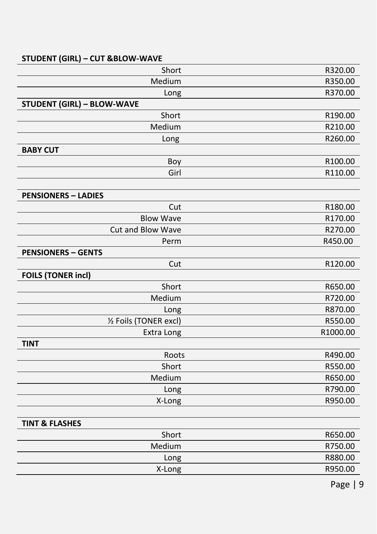#### **STUDENT (GIRL) – CUT &BLOW-WAVE**

| Short                             | R320.00  |
|-----------------------------------|----------|
| Medium                            | R350.00  |
| Long                              | R370.00  |
| <b>STUDENT (GIRL) - BLOW-WAVE</b> |          |
| Short                             | R190.00  |
| Medium                            | R210.00  |
| Long                              | R260.00  |
| <b>BABY CUT</b>                   |          |
| Boy                               | R100.00  |
| Girl                              | R110.00  |
|                                   |          |
| <b>PENSIONERS - LADIES</b>        |          |
| Cut                               | R180.00  |
| <b>Blow Wave</b>                  | R170.00  |
| Cut and Blow Wave                 | R270.00  |
| Perm                              | R450.00  |
| <b>PENSIONERS - GENTS</b>         |          |
| Cut                               | R120.00  |
| <b>FOILS (TONER incl)</b>         |          |
| Short                             | R650.00  |
| Medium                            | R720.00  |
| Long                              | R870.00  |
| 1/2 Foils (TONER excl)            | R550.00  |
| Extra Long                        | R1000.00 |
| <b>TINT</b>                       |          |
| Roots                             | R490.00  |
| Short                             | R550.00  |
| Medium                            | R650.00  |
| Long                              | R790.00  |
| X-Long                            | R950.00  |
|                                   |          |
| <b>TINT &amp; FLASHES</b>         |          |
| Short                             | R650.00  |
| Medium                            | R750.00  |
| Long                              | R880.00  |
| X-Long                            | R950.00  |
|                                   |          |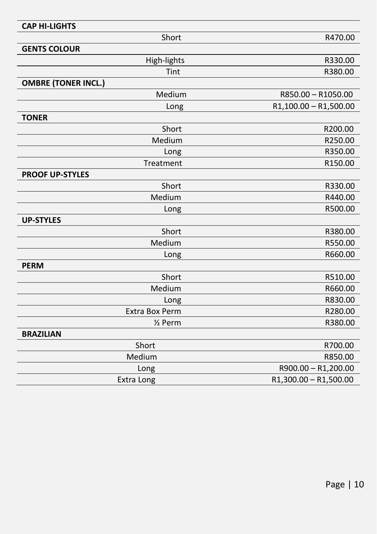| <b>CAP HI-LIGHTS</b>       |                         |
|----------------------------|-------------------------|
| Short                      | R470.00                 |
| <b>GENTS COLOUR</b>        |                         |
| High-lights                | R330.00                 |
| Tint                       | R380.00                 |
| <b>OMBRE (TONER INCL.)</b> |                         |
| Medium                     | R850.00 - R1050.00      |
| Long                       | $R1,100.00 - R1,500.00$ |
| <b>TONER</b>               |                         |
| Short                      | R200.00                 |
| Medium                     | R250.00                 |
| Long                       | R350.00                 |
| Treatment                  | R150.00                 |
| <b>PROOF UP-STYLES</b>     |                         |
| Short                      | R330.00                 |
| Medium                     | R440.00                 |
| Long                       | R500.00                 |
| <b>UP-STYLES</b>           |                         |
| Short                      | R380.00                 |
| Medium                     | R550.00                 |
| Long                       | R660.00                 |
| <b>PERM</b>                |                         |
| Short                      | R510.00                 |
| Medium                     | R660.00                 |
| Long                       | R830.00                 |
| Extra Box Perm             | R280.00                 |
| 1/ <sub>2</sub> Perm       | R380.00                 |
| <b>BRAZILIAN</b>           |                         |
| Short                      | R700.00                 |
| Medium                     | R850.00                 |
| Long                       | R900.00 - R1,200.00     |
| <b>Extra Long</b>          | $R1,300.00 - R1,500.00$ |